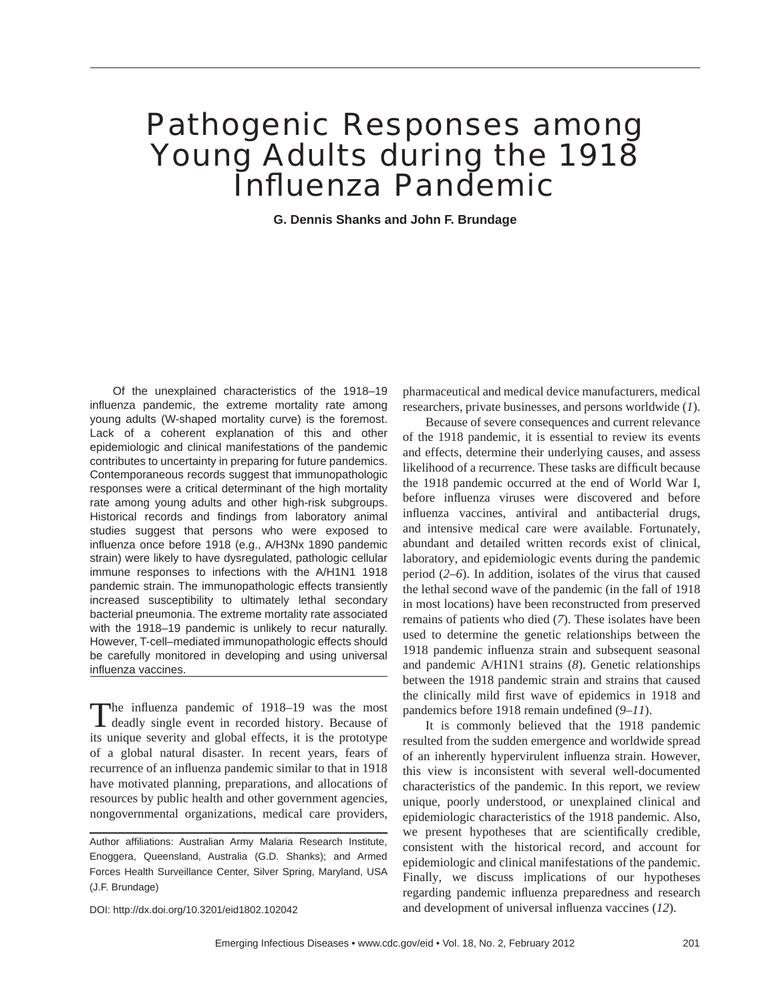# Pathogenic Responses among Young Adults during the 1918 Influenza Pandemic

**G. Dennis Shanks and John F. Brundage**

Of the unexplained characteristics of the 1918–19 influenza pandemic, the extreme mortality rate among young adults (W-shaped mortality curve) is the foremost. Lack of a coherent explanation of this and other epidemiologic and clinical manifestations of the pandemic contributes to uncertainty in preparing for future pandemics. Contemporaneous records suggest that immunopathologic responses were a critical determinant of the high mortality rate among young adults and other high-risk subgroups. Historical records and findings from laboratory animal studies suggest that persons who were exposed to influenza once before 1918 (e.g., A/H3Nx 1890 pandemic strain) were likely to have dysregulated, pathologic cellular immune responses to infections with the A/H1N1 1918 pandemic strain. The immunopathologic effects transiently increased susceptibility to ultimately lethal secondary bacterial pneumonia. The extreme mortality rate associated with the 1918–19 pandemic is unlikely to recur naturally. However, T-cell–mediated immunopathologic effects should be carefully monitored in developing and using universal influenza vaccines.

The influenza pandemic of 1918–19 was the most deadly single event in recorded history. Because of its unique severity and global effects, it is the prototype of a global natural disaster. In recent years, fears of recurrence of an influenza pandemic similar to that in 1918 have motivated planning, preparations, and allocations of resources by public health and other government agencies, nongovernmental organizations, medical care providers,

pharmaceutical and medical device manufacturers, medical researchers, private businesses, and persons worldwide (*1*).

Because of severe consequences and current relevance of the 1918 pandemic, it is essential to review its events and effects, determine their underlying causes, and assess likelihood of a recurrence. These tasks are difficult because the 1918 pandemic occurred at the end of World War I, before influenza viruses were discovered and before influenza vaccines, antiviral and antibacterial drugs, and intensive medical care were available. Fortunately, abundant and detailed written records exist of clinical, laboratory, and epidemiologic events during the pandemic period (*2*–*6*). In addition, isolates of the virus that caused the lethal second wave of the pandemic (in the fall of 1918 in most locations) have been reconstructed from preserved remains of patients who died (*7*). These isolates have been used to determine the genetic relationships between the 1918 pandemic influenza strain and subsequent seasonal and pandemic A/H1N1 strains (*8*). Genetic relationships between the 1918 pandemic strain and strains that caused the clinically mild first wave of epidemics in 1918 and pandemics before 1918 remain undefined (9–11).

It is commonly believed that the 1918 pandemic resulted from the sudden emergence and worldwide spread of an inherently hypervirulent influenza strain. However, this view is inconsistent with several well-documented characteristics of the pandemic. In this report, we review unique, poorly understood, or unexplained clinical and epidemiologic characteristics of the 1918 pandemic. Also, we present hypotheses that are scientifically credible, consistent with the historical record, and account for epidemiologic and clinical manifestations of the pandemic. Finally, we discuss implications of our hypotheses regarding pandemic influenza preparedness and research and development of universal influenza vaccines (12).

DOI: http://dx.doi.org/10.3201/eid1802.102042

Author affiliations: Australian Army Malaria Research Institute, Enoggera, Queensland, Australia (G.D. Shanks); and Armed Forces Health Surveillance Center, Silver Spring, Maryland, USA (J.F. Brundage)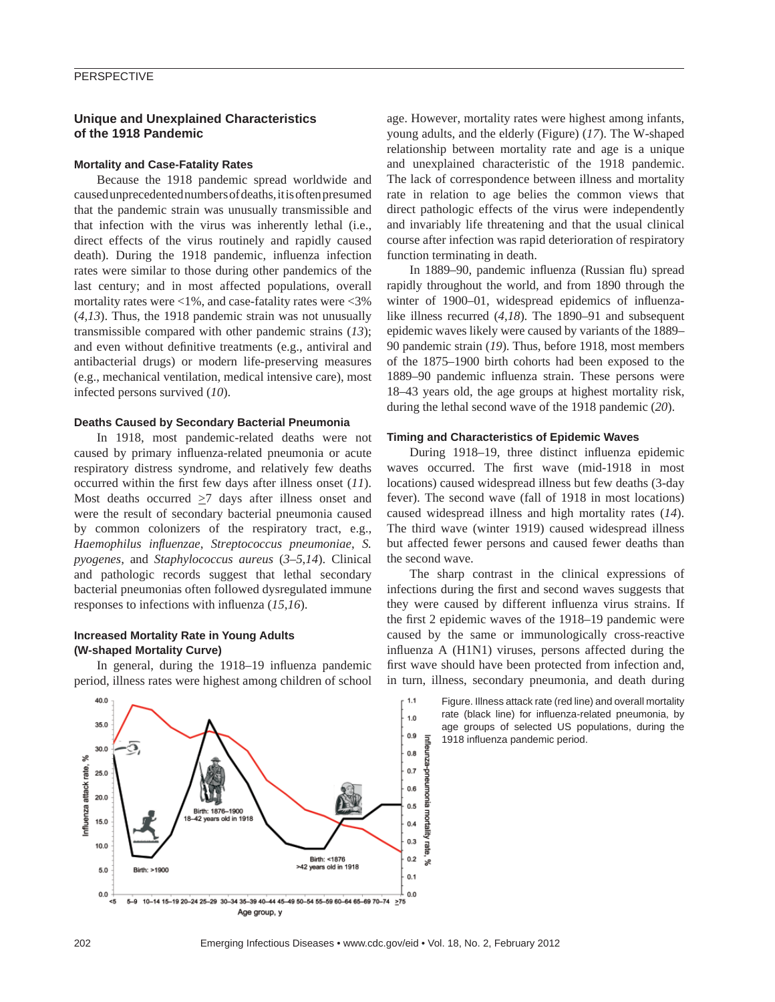# **Unique and Unexplained Characteristics of the 1918 Pandemic**

#### **Mortality and Case-Fatality Rates**

Because the 1918 pandemic spread worldwide and caused unprecedented numbers of deaths, it is often presumed that the pandemic strain was unusually transmissible and that infection with the virus was inherently lethal (i.e., direct effects of the virus routinely and rapidly caused death). During the 1918 pandemic, influenza infection rates were similar to those during other pandemics of the last century; and in most affected populations, overall mortality rates were  $<1\%$ , and case-fatality rates were  $<3\%$ (*4*,*13*). Thus, the 1918 pandemic strain was not unusually transmissible compared with other pandemic strains (*13*); and even without definitive treatments (e.g., antiviral and antibacterial drugs) or modern life-preserving measures (e.g., mechanical ventilation, medical intensive care), most infected persons survived (*10*).

#### **Deaths Caused by Secondary Bacterial Pneumonia**

In 1918, most pandemic-related deaths were not caused by primary influenza-related pneumonia or acute respiratory distress syndrome, and relatively few deaths occurred within the first few days after illness onset (11). Most deaths occurred  $\geq$ 7 days after illness onset and were the result of secondary bacterial pneumonia caused by common colonizers of the respiratory tract, e.g., *Haemophilus infl uenzae*, *Streptococcus pneumoniae*, *S. pyogenes*, and *Staphylococcus aureus* (*3*–*5*,*14*). Clinical and pathologic records suggest that lethal secondary bacterial pneumonias often followed dysregulated immune responses to infections with influenza (15,16).

#### **Increased Mortality Rate in Young Adults (W-shaped Mortality Curve)**

In general, during the 1918–19 influenza pandemic period, illness rates were highest among children of school



age. However, mortality rates were highest among infants, young adults, and the elderly (Figure) (*17*). The W-shaped relationship between mortality rate and age is a unique and unexplained characteristic of the 1918 pandemic. The lack of correspondence between illness and mortality rate in relation to age belies the common views that direct pathologic effects of the virus were independently and invariably life threatening and that the usual clinical course after infection was rapid deterioration of respiratory function terminating in death.

In 1889–90, pandemic influenza (Russian flu) spread rapidly throughout the world, and from 1890 through the winter of 1900–01, widespread epidemics of influenzalike illness recurred (*4*,*18*). The 1890–91 and subsequent epidemic waves likely were caused by variants of the 1889– 90 pandemic strain (*19*). Thus, before 1918, most members of the 1875–1900 birth cohorts had been exposed to the 1889–90 pandemic influenza strain. These persons were 18–43 years old, the age groups at highest mortality risk, during the lethal second wave of the 1918 pandemic (*20*).

#### **Timing and Characteristics of Epidemic Waves**

During 1918–19, three distinct influenza epidemic waves occurred. The first wave (mid-1918 in most locations) caused widespread illness but few deaths (3-day fever). The second wave (fall of 1918 in most locations) caused widespread illness and high mortality rates (*14*). The third wave (winter 1919) caused widespread illness but affected fewer persons and caused fewer deaths than the second wave.

The sharp contrast in the clinical expressions of infections during the first and second waves suggests that they were caused by different influenza virus strains. If the first 2 epidemic waves of the 1918–19 pandemic were caused by the same or immunologically cross-reactive influenza  $A$  (H1N1) viruses, persons affected during the first wave should have been protected from infection and, in turn, illness, secondary pneumonia, and death during

> Figure. Illness attack rate (red line) and overall mortality rate (black line) for influenza-related pneumonia, by age groups of selected US populations, during the 1918 influenza pandemic period. eunza-pr

202 Emerging Infectious Diseases • www.cdc.gov/eid • Vol. 18, No. 2, February 2012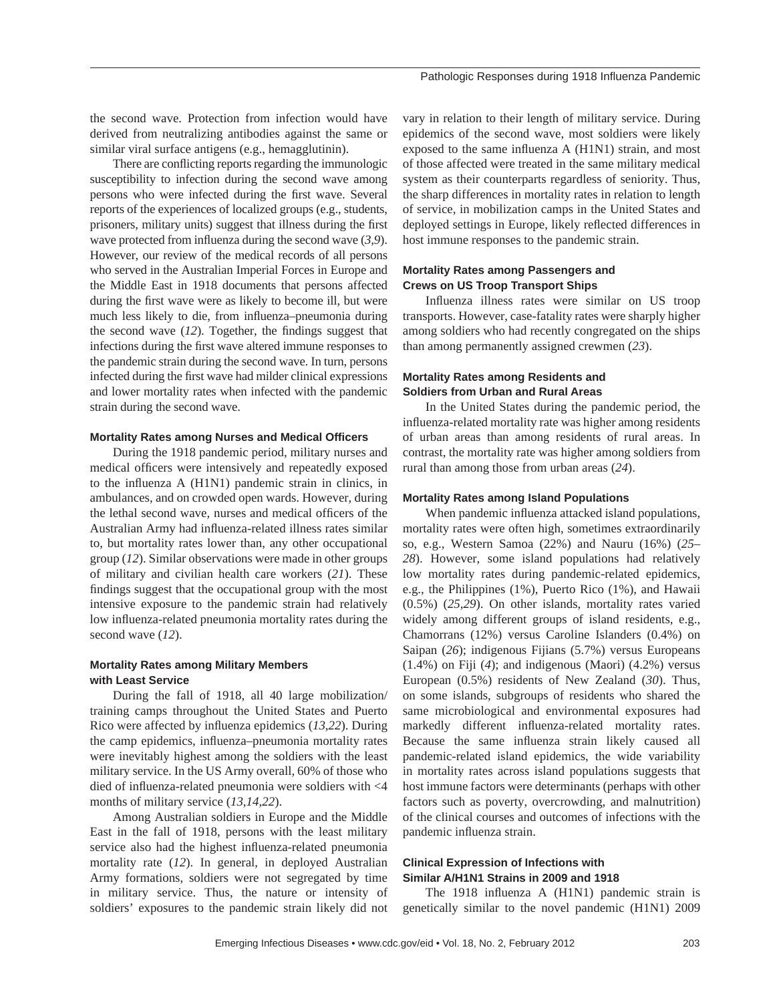the second wave. Protection from infection would have derived from neutralizing antibodies against the same or similar viral surface antigens (e.g., hemagglutinin).

There are conflicting reports regarding the immunologic susceptibility to infection during the second wave among persons who were infected during the first wave. Several reports of the experiences of localized groups (e.g., students, prisoners, military units) suggest that illness during the first wave protected from influenza during the second wave  $(3,9)$ . However, our review of the medical records of all persons who served in the Australian Imperial Forces in Europe and the Middle East in 1918 documents that persons affected during the first wave were as likely to become ill, but were much less likely to die, from influenza–pneumonia during the second wave  $(12)$ . Together, the findings suggest that infections during the first wave altered immune responses to the pandemic strain during the second wave. In turn, persons infected during the first wave had milder clinical expressions and lower mortality rates when infected with the pandemic strain during the second wave.

#### **Mortality Rates among Nurses and Medical Offi cers**

During the 1918 pandemic period, military nurses and medical officers were intensively and repeatedly exposed to the influenza A (H1N1) pandemic strain in clinics, in ambulances, and on crowded open wards. However, during the lethal second wave, nurses and medical officers of the Australian Army had influenza-related illness rates similar to, but mortality rates lower than, any other occupational group (*12*). Similar observations were made in other groups of military and civilian health care workers (*21*). These findings suggest that the occupational group with the most intensive exposure to the pandemic strain had relatively low influenza-related pneumonia mortality rates during the second wave (*12*).

## **Mortality Rates among Military Members with Least Service**

During the fall of 1918, all 40 large mobilization/ training camps throughout the United States and Puerto Rico were affected by influenza epidemics (13,22). During the camp epidemics, influenza–pneumonia mortality rates were inevitably highest among the soldiers with the least military service. In the US Army overall, 60% of those who died of influenza-related pneumonia were soldiers with  $<$  4 months of military service (*13*,*14*,*22*).

Among Australian soldiers in Europe and the Middle East in the fall of 1918, persons with the least military service also had the highest influenza-related pneumonia mortality rate (*12*). In general, in deployed Australian Army formations, soldiers were not segregated by time in military service. Thus, the nature or intensity of soldiers' exposures to the pandemic strain likely did not vary in relation to their length of military service. During epidemics of the second wave, most soldiers were likely exposed to the same influenza  $A$  ( $H1N1$ ) strain, and most of those affected were treated in the same military medical system as their counterparts regardless of seniority. Thus, the sharp differences in mortality rates in relation to length of service, in mobilization camps in the United States and deployed settings in Europe, likely reflected differences in host immune responses to the pandemic strain.

# **Mortality Rates among Passengers and Crews on US Troop Transport Ships**

Influenza illness rates were similar on US troop transports. However, case-fatality rates were sharply higher among soldiers who had recently congregated on the ships than among permanently assigned crewmen (*23*).

## **Mortality Rates among Residents and Soldiers from Urban and Rural Areas**

In the United States during the pandemic period, the influenza-related mortality rate was higher among residents of urban areas than among residents of rural areas. In contrast, the mortality rate was higher among soldiers from rural than among those from urban areas (*24*).

#### **Mortality Rates among Island Populations**

When pandemic influenza attacked island populations, mortality rates were often high, sometimes extraordinarily so, e.g., Western Samoa (22%) and Nauru (16%) (*25*– *28*). However, some island populations had relatively low mortality rates during pandemic-related epidemics, e.g., the Philippines (1%), Puerto Rico (1%), and Hawaii (0.5%) (*25*,*29*). On other islands, mortality rates varied widely among different groups of island residents, e.g., Chamorrans (12%) versus Caroline Islanders (0.4%) on Saipan (*26*); indigenous Fijians (5.7%) versus Europeans (1.4%) on Fiji (*4*); and indigenous (Maori) (4.2%) versus European (0.5%) residents of New Zealand (*30*). Thus, on some islands, subgroups of residents who shared the same microbiological and environmental exposures had markedly different influenza-related mortality rates. Because the same influenza strain likely caused all pandemic-related island epidemics, the wide variability in mortality rates across island populations suggests that host immune factors were determinants (perhaps with other factors such as poverty, overcrowding, and malnutrition) of the clinical courses and outcomes of infections with the pandemic influenza strain.

# **Clinical Expression of Infections with Similar A/H1N1 Strains in 2009 and 1918**

The 1918 influenza A  $(H1N1)$  pandemic strain is genetically similar to the novel pandemic (H1N1) 2009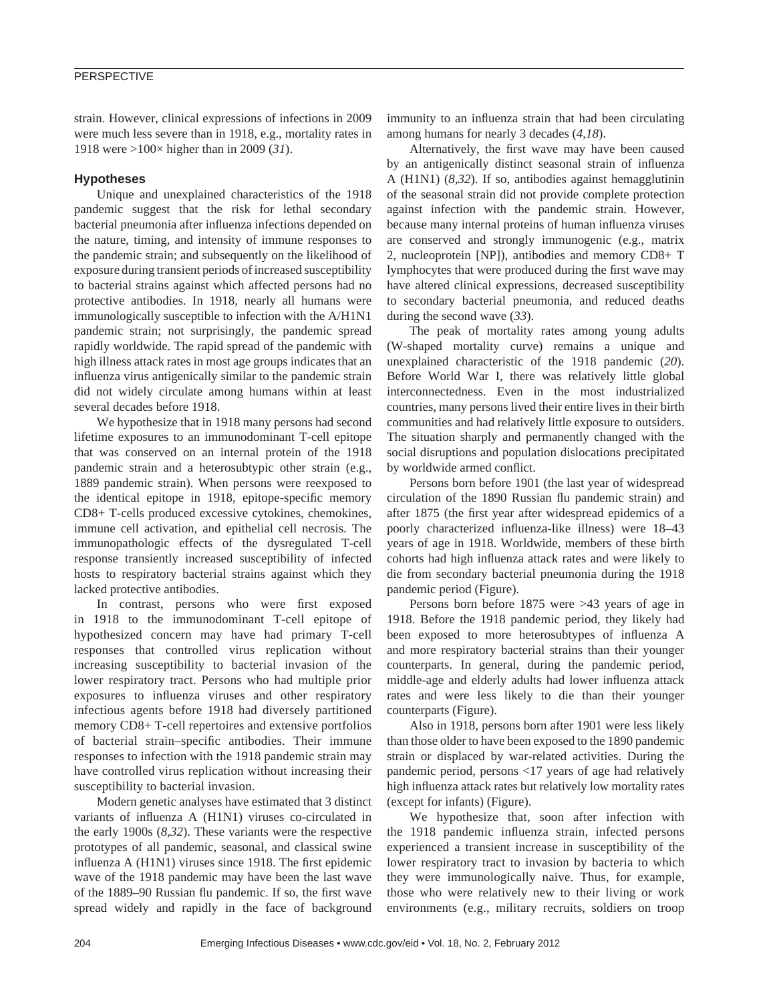# **PERSPECTIVE**

strain. However, clinical expressions of infections in 2009 were much less severe than in 1918, e.g., mortality rates in 1918 were >100× higher than in 2009 (*31*).

### **Hypotheses**

Unique and unexplained characteristics of the 1918 pandemic suggest that the risk for lethal secondary bacterial pneumonia after influenza infections depended on the nature, timing, and intensity of immune responses to the pandemic strain; and subsequently on the likelihood of exposure during transient periods of increased susceptibility to bacterial strains against which affected persons had no protective antibodies. In 1918, nearly all humans were immunologically susceptible to infection with the A/H1N1 pandemic strain; not surprisingly, the pandemic spread rapidly worldwide. The rapid spread of the pandemic with high illness attack rates in most age groups indicates that an influenza virus antigenically similar to the pandemic strain did not widely circulate among humans within at least several decades before 1918.

We hypothesize that in 1918 many persons had second lifetime exposures to an immunodominant T-cell epitope that was conserved on an internal protein of the 1918 pandemic strain and a heterosubtypic other strain (e.g., 1889 pandemic strain). When persons were reexposed to the identical epitope in 1918, epitope-specific memory CD8+ T-cells produced excessive cytokines, chemokines, immune cell activation, and epithelial cell necrosis. The immunopathologic effects of the dysregulated T-cell response transiently increased susceptibility of infected hosts to respiratory bacterial strains against which they lacked protective antibodies.

In contrast, persons who were first exposed in 1918 to the immunodominant T-cell epitope of hypothesized concern may have had primary T-cell responses that controlled virus replication without increasing susceptibility to bacterial invasion of the lower respiratory tract. Persons who had multiple prior exposures to influenza viruses and other respiratory infectious agents before 1918 had diversely partitioned memory CD8+ T-cell repertoires and extensive portfolios of bacterial strain–specific antibodies. Their immune responses to infection with the 1918 pandemic strain may have controlled virus replication without increasing their susceptibility to bacterial invasion.

Modern genetic analyses have estimated that 3 distinct variants of influenza A (H1N1) viruses co-circulated in the early 1900s (*8*,*32*). These variants were the respective prototypes of all pandemic, seasonal, and classical swine influenza A  $(H1N1)$  viruses since 1918. The first epidemic wave of the 1918 pandemic may have been the last wave of the 1889–90 Russian flu pandemic. If so, the first wave spread widely and rapidly in the face of background immunity to an influenza strain that had been circulating among humans for nearly 3 decades (*4*,*18*).

Alternatively, the first wave may have been caused by an antigenically distinct seasonal strain of influenza A (H1N1) (*8*,*32*). If so, antibodies against hemagglutinin of the seasonal strain did not provide complete protection against infection with the pandemic strain. However, because many internal proteins of human influenza viruses are conserved and strongly immunogenic (e.g., matrix 2, nucleoprotein [NP]), antibodies and memory CD8+ T lymphocytes that were produced during the first wave may have altered clinical expressions, decreased susceptibility to secondary bacterial pneumonia, and reduced deaths during the second wave (*33*).

The peak of mortality rates among young adults (W-shaped mortality curve) remains a unique and unexplained characteristic of the 1918 pandemic (*20*). Before World War I, there was relatively little global interconnectedness. Even in the most industrialized countries, many persons lived their entire lives in their birth communities and had relatively little exposure to outsiders. The situation sharply and permanently changed with the social disruptions and population dislocations precipitated by worldwide armed conflict.

Persons born before 1901 (the last year of widespread circulation of the 1890 Russian flu pandemic strain) and after 1875 (the first year after widespread epidemics of a poorly characterized influenza-like illness) were 18-43 years of age in 1918. Worldwide, members of these birth cohorts had high influenza attack rates and were likely to die from secondary bacterial pneumonia during the 1918 pandemic period (Figure).

Persons born before 1875 were >43 years of age in 1918. Before the 1918 pandemic period, they likely had been exposed to more heterosubtypes of influenza A and more respiratory bacterial strains than their younger counterparts. In general, during the pandemic period, middle-age and elderly adults had lower influenza attack rates and were less likely to die than their younger counterparts (Figure).

Also in 1918, persons born after 1901 were less likely than those older to have been exposed to the 1890 pandemic strain or displaced by war-related activities. During the pandemic period, persons <17 years of age had relatively high influenza attack rates but relatively low mortality rates (except for infants) (Figure).

We hypothesize that, soon after infection with the 1918 pandemic influenza strain, infected persons experienced a transient increase in susceptibility of the lower respiratory tract to invasion by bacteria to which they were immunologically naive. Thus, for example, those who were relatively new to their living or work environments (e.g., military recruits, soldiers on troop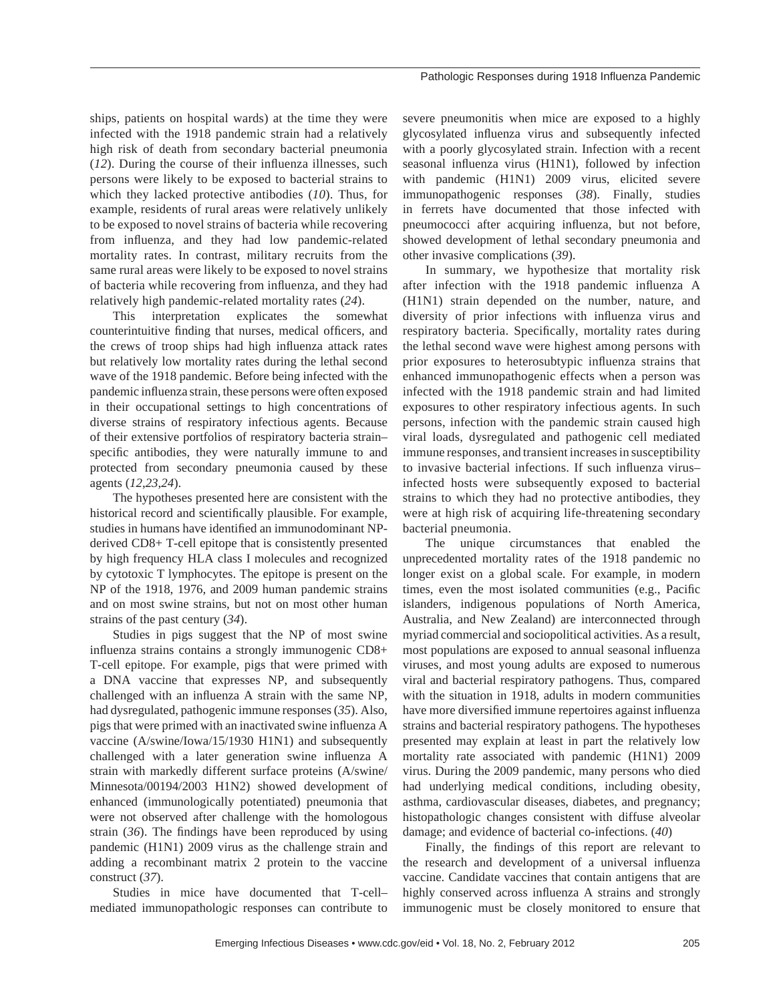ships, patients on hospital wards) at the time they were infected with the 1918 pandemic strain had a relatively high risk of death from secondary bacterial pneumonia  $(12)$ . During the course of their influenza illnesses, such persons were likely to be exposed to bacterial strains to which they lacked protective antibodies (*10*). Thus, for example, residents of rural areas were relatively unlikely to be exposed to novel strains of bacteria while recovering from influenza, and they had low pandemic-related mortality rates. In contrast, military recruits from the same rural areas were likely to be exposed to novel strains of bacteria while recovering from influenza, and they had relatively high pandemic-related mortality rates (*24*).

This interpretation explicates the somewhat counterintuitive finding that nurses, medical officers, and the crews of troop ships had high influenza attack rates but relatively low mortality rates during the lethal second wave of the 1918 pandemic. Before being infected with the pandemic influenza strain, these persons were often exposed in their occupational settings to high concentrations of diverse strains of respiratory infectious agents. Because of their extensive portfolios of respiratory bacteria strain– specific antibodies, they were naturally immune to and protected from secondary pneumonia caused by these agents (*12*,*23*,*24*).

The hypotheses presented here are consistent with the historical record and scientifically plausible. For example, studies in humans have identified an immunodominant NPderived CD8+ T-cell epitope that is consistently presented by high frequency HLA class I molecules and recognized by cytotoxic T lymphocytes. The epitope is present on the NP of the 1918, 1976, and 2009 human pandemic strains and on most swine strains, but not on most other human strains of the past century (*34*).

Studies in pigs suggest that the NP of most swine influenza strains contains a strongly immunogenic CD8+ T-cell epitope. For example, pigs that were primed with a DNA vaccine that expresses NP, and subsequently challenged with an influenza A strain with the same NP, had dysregulated, pathogenic immune responses (*35*). Also, pigs that were primed with an inactivated swine influenza A vaccine (A/swine/Iowa/15/1930 H1N1) and subsequently challenged with a later generation swine influenza A strain with markedly different surface proteins (A/swine/ Minnesota/00194/2003 H1N2) showed development of enhanced (immunologically potentiated) pneumonia that were not observed after challenge with the homologous strain  $(36)$ . The findings have been reproduced by using pandemic (H1N1) 2009 virus as the challenge strain and adding a recombinant matrix 2 protein to the vaccine construct (*37*).

Studies in mice have documented that T-cell– mediated immunopathologic responses can contribute to severe pneumonitis when mice are exposed to a highly glycosylated influenza virus and subsequently infected with a poorly glycosylated strain. Infection with a recent seasonal influenza virus (H1N1), followed by infection with pandemic (H1N1) 2009 virus, elicited severe immunopathogenic responses (*38*). Finally, studies in ferrets have documented that those infected with pneumococci after acquiring influenza, but not before, showed development of lethal secondary pneumonia and other invasive complications (*39*).

In summary, we hypothesize that mortality risk after infection with the 1918 pandemic influenza A (H1N1) strain depended on the number, nature, and diversity of prior infections with influenza virus and respiratory bacteria. Specifically, mortality rates during the lethal second wave were highest among persons with prior exposures to heterosubtypic influenza strains that enhanced immunopathogenic effects when a person was infected with the 1918 pandemic strain and had limited exposures to other respiratory infectious agents. In such persons, infection with the pandemic strain caused high viral loads, dysregulated and pathogenic cell mediated immune responses, and transient increases in susceptibility to invasive bacterial infections. If such influenza virus– infected hosts were subsequently exposed to bacterial strains to which they had no protective antibodies, they were at high risk of acquiring life-threatening secondary bacterial pneumonia.

The unique circumstances that enabled the unprecedented mortality rates of the 1918 pandemic no longer exist on a global scale. For example, in modern times, even the most isolated communities (e.g., Pacific islanders, indigenous populations of North America, Australia, and New Zealand) are interconnected through myriad commercial and sociopolitical activities. As a result, most populations are exposed to annual seasonal influenza viruses, and most young adults are exposed to numerous viral and bacterial respiratory pathogens. Thus, compared with the situation in 1918, adults in modern communities have more diversified immune repertoires against influenza strains and bacterial respiratory pathogens. The hypotheses presented may explain at least in part the relatively low mortality rate associated with pandemic (H1N1) 2009 virus. During the 2009 pandemic, many persons who died had underlying medical conditions, including obesity, asthma, cardiovascular diseases, diabetes, and pregnancy; histopathologic changes consistent with diffuse alveolar damage; and evidence of bacterial co-infections. (*40*)

Finally, the findings of this report are relevant to the research and development of a universal influenza vaccine. Candidate vaccines that contain antigens that are highly conserved across influenza A strains and strongly immunogenic must be closely monitored to ensure that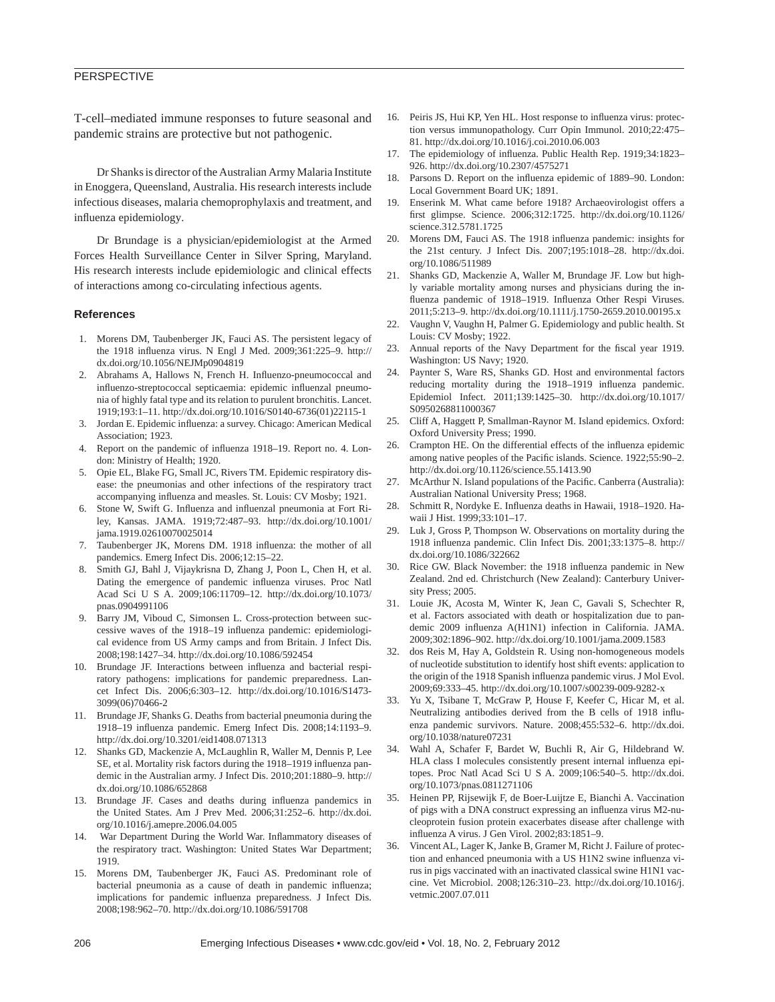# **PERSPECTIVE**

T-cell–mediated immune responses to future seasonal and pandemic strains are protective but not pathogenic.

Dr Shanks is director of the Australian Army Malaria Institute in Enoggera, Queensland, Australia. His research interests include infectious diseases, malaria chemoprophylaxis and treatment, and influenza epidemiology.

Dr Brundage is a physician/epidemiologist at the Armed Forces Health Surveillance Center in Silver Spring, Maryland. His research interests include epidemiologic and clinical effects of interactions among co-circulating infectious agents.

#### **References**

- 1. Morens DM, Taubenberger JK, Fauci AS. The persistent legacy of the 1918 influenza virus. N Engl J Med. 2009;361:225-9. http:// dx.doi.org/10.1056/NEJMp0904819
- 2. Abrahams A, Hallows N, French H. Influenzo-pneumococcal and influenzo-streptococcal septicaemia: epidemic influenzal pneumonia of highly fatal type and its relation to purulent bronchitis. Lancet. 1919;193:1–11. http://dx.doi.org/10.1016/S0140-6736(01)22115-1
- 3. Jordan E. Epidemic influenza: a survey. Chicago: American Medical Association; 1923.
- 4. Report on the pandemic of influenza 1918–19. Report no. 4. London: Ministry of Health; 1920.
- 5. Opie EL, Blake FG, Small JC, Rivers TM. Epidemic respiratory disease: the pneumonias and other infections of the respiratory tract accompanying influenza and measles. St. Louis: CV Mosby; 1921.
- 6. Stone W, Swift G. Influenza and influenzal pneumonia at Fort Riley, Kansas. JAMA. 1919;72:487–93. http://dx.doi.org/10.1001/ jama.1919.02610070025014
- 7. Taubenberger JK, Morens DM. 1918 influenza: the mother of all pandemics. Emerg Infect Dis. 2006;12:15–22.
- 8. Smith GJ, Bahl J, Vijaykrisna D, Zhang J, Poon L, Chen H, et al. Dating the emergence of pandemic influenza viruses. Proc Natl Acad Sci U S A. 2009;106:11709–12. http://dx.doi.org/10.1073/ pnas.0904991106
- 9. Barry JM, Viboud C, Simonsen L. Cross-protection between successive waves of the 1918–19 influenza pandemic: epidemiological evidence from US Army camps and from Britain. J Infect Dis. 2008;198:1427–34. http://dx.doi.org/10.1086/592454
- 10. Brundage JF. Interactions between influenza and bacterial respiratory pathogens: implications for pandemic preparedness. Lancet Infect Dis. 2006;6:303–12. http://dx.doi.org/10.1016/S1473- 3099(06)70466-2
- 11. Brundage JF, Shanks G. Deaths from bacterial pneumonia during the 1918–19 influenza pandemic. Emerg Infect Dis. 2008;14:1193–9. http://dx.doi.org/10.3201/eid1408.071313
- 12. Shanks GD, Mackenzie A, McLaughlin R, Waller M, Dennis P, Lee SE, et al. Mortality risk factors during the 1918-1919 influenza pandemic in the Australian army. J Infect Dis. 2010;201:1880–9. http:// dx.doi.org/10.1086/652868
- 13. Brundage JF. Cases and deaths during influenza pandemics in the United States. Am J Prev Med. 2006;31:252–6. http://dx.doi. org/10.1016/j.amepre.2006.04.005
- 14. War Department During the World War. Inflammatory diseases of the respiratory tract. Washington: United States War Department; 1919.
- 15. Morens DM, Taubenberger JK, Fauci AS. Predominant role of bacterial pneumonia as a cause of death in pandemic influenza; implications for pandemic influenza preparedness. J Infect Dis. 2008;198:962–70. http://dx.doi.org/10.1086/591708
- 16. Peiris JS, Hui KP, Yen HL. Host response to influenza virus: protection versus immunopathology. Curr Opin Immunol. 2010;22:475– 81. http://dx.doi.org/10.1016/j.coi.2010.06.003
- 17. The epidemiology of influenza. Public Health Rep. 1919;34:1823-926. http://dx.doi.org/10.2307/4575271
- 18. Parsons D. Report on the influenza epidemic of 1889–90. London: Local Government Board UK; 1891.
- 19. Enserink M. What came before 1918? Archaeovirologist offers a first glimpse. Science. 2006;312:1725. http://dx.doi.org/10.1126/ science.312.5781.1725
- 20. Morens DM, Fauci AS. The 1918 influenza pandemic: insights for the 21st century. J Infect Dis. 2007;195:1018–28. http://dx.doi. org/10.1086/511989
- 21. Shanks GD, Mackenzie A, Waller M, Brundage JF. Low but highly variable mortality among nurses and physicians during the influenza pandemic of 1918–1919. Influenza Other Respi Viruses. 2011;5:213–9. http://dx.doi.org/10.1111/j.1750-2659.2010.00195.x
- 22. Vaughn V, Vaughn H, Palmer G. Epidemiology and public health. St Louis: CV Mosby; 1922.
- 23. Annual reports of the Navy Department for the fiscal year 1919. Washington: US Navy; 1920.
- 24. Paynter S, Ware RS, Shanks GD. Host and environmental factors reducing mortality during the 1918–1919 influenza pandemic. Epidemiol Infect. 2011;139:1425–30. http://dx.doi.org/10.1017/ S0950268811000367
- 25. Cliff A, Haggett P, Smallman-Raynor M. Island epidemics. Oxford: Oxford University Press; 1990.
- 26. Crampton HE. On the differential effects of the influenza epidemic among native peoples of the Pacific islands. Science. 1922;55:90-2. http://dx.doi.org/10.1126/science.55.1413.90
- 27. McArthur N. Island populations of the Pacific. Canberra (Australia): Australian National University Press; 1968.
- 28. Schmitt R, Nordyke E. Influenza deaths in Hawaii, 1918–1920. Hawaii J Hist. 1999;33:101–17.
- 29. Luk J, Gross P, Thompson W. Observations on mortality during the 1918 infl uenza pandemic. Clin Infect Dis. 2001;33:1375–8. http:// dx.doi.org/10.1086/322662
- Rice GW. Black November: the 1918 influenza pandemic in New Zealand. 2nd ed. Christchurch (New Zealand): Canterbury University Press; 2005.
- 31. Louie JK, Acosta M, Winter K, Jean C, Gavali S, Schechter R, et al. Factors associated with death or hospitalization due to pandemic 2009 influenza A(H1N1) infection in California. JAMA. 2009;302:1896–902. http://dx.doi.org/10.1001/jama.2009.1583
- 32. dos Reis M, Hay A, Goldstein R. Using non-homogeneous models of nucleotide substitution to identify host shift events: application to the origin of the 1918 Spanish influenza pandemic virus. J Mol Evol. 2009;69:333–45. http://dx.doi.org/10.1007/s00239-009-9282-x
- 33. Yu X, Tsibane T, McGraw P, House F, Keefer C, Hicar M, et al. Neutralizing antibodies derived from the B cells of 1918 influenza pandemic survivors. Nature. 2008;455:532–6. http://dx.doi. org/10.1038/nature07231
- 34. Wahl A, Schafer F, Bardet W, Buchli R, Air G, Hildebrand W. HLA class I molecules consistently present internal influenza epitopes. Proc Natl Acad Sci U S A. 2009;106:540–5. http://dx.doi. org/10.1073/pnas.0811271106
- 35. Heinen PP, Rijsewijk F, de Boer-Luijtze E, Bianchi A. Vaccination of pigs with a DNA construct expressing an influenza virus M2-nucleoprotein fusion protein exacerbates disease after challenge with influenza A virus. J Gen Virol. 2002;83:1851-9.
- 36. Vincent AL, Lager K, Janke B, Gramer M, Richt J. Failure of protection and enhanced pneumonia with a US H1N2 swine influenza virus in pigs vaccinated with an inactivated classical swine H1N1 vaccine. Vet Microbiol. 2008;126:310–23. http://dx.doi.org/10.1016/j. vetmic.2007.07.011